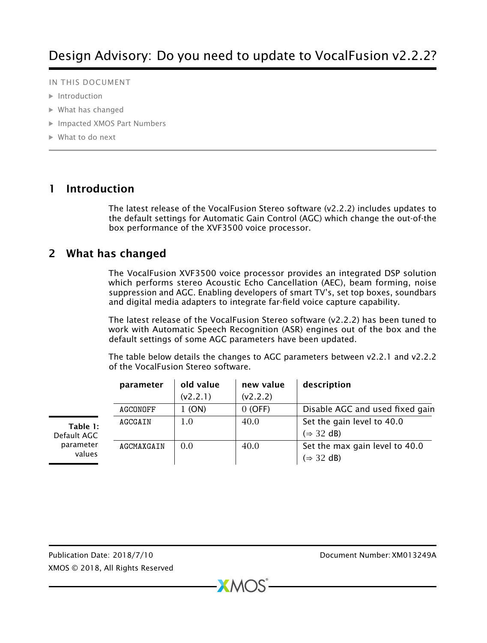### IN THIS DOCUMENT

- **•** [Introduction](#page-0-0)
- $\triangleright$  [What has changed](#page-0-1)
- · [Impacted XMOS Part Numbers](#page-1-0)
- · [What to do next](#page-1-1)

# 1 Introduction

<span id="page-0-0"></span>The latest release of the VocalFusion Stereo software (v2.2.2) includes updates to the default settings for Automatic Gain Control (AGC) which change the out-of-the box performance of the XVF3500 voice processor.

# 2 What has changed

<span id="page-0-1"></span>The VocalFusion XVF3500 voice processor provides an integrated DSP solution which performs stereo Acoustic Echo Cancellation (AEC), beam forming, noise suppression and AGC. Enabling developers of smart TV's, set top boxes, soundbars and digital media adapters to integrate far-field voice capture capability.

The latest release of the VocalFusion Stereo software (v2.2.2) has been tuned to work with Automatic Speech Recognition (ASR) engines out of the box and the default settings of some AGC parameters have been updated.

The table below details the changes to AGC parameters between v2.2.1 and v2.2.2 of the VocalFusion Stereo software.

| description<br>new value        |
|---------------------------------|
|                                 |
| Disable AGC and used fixed gain |
| Set the gain level to 40.0      |
| $(\Rightarrow 32 \text{ dB})$   |
| Set the max gain level to 40.0  |
| $(\Rightarrow$ 32 dB)           |
|                                 |

**XMOS** 

 $\mathcal{L}$ 

÷.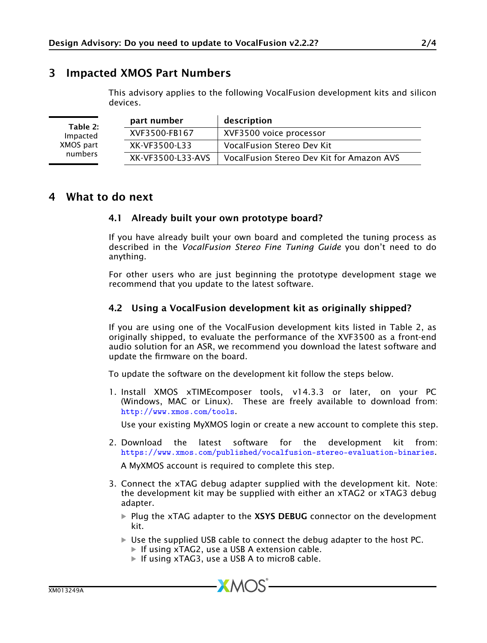# 3 Impacted XMOS Part Numbers

<span id="page-1-0"></span>This advisory applies to the following VocalFusion development kits and silicon devices.

| Table 2:<br>Impacted<br>XMOS part<br>numbers | part number       | description                               |
|----------------------------------------------|-------------------|-------------------------------------------|
|                                              | XVF3500-FB167     | XVF3500 voice processor                   |
|                                              | XK-VF3500-L33     | VocalFusion Stereo Dev Kit                |
|                                              | XK-VF3500-L33-AVS | VocalFusion Stereo Dev Kit for Amazon AVS |

# 4 What to do next

## <span id="page-1-1"></span>4.1 Already built your own prototype board?

If you have already built your own board and completed the tuning process as described in the *VocalFusion Stereo Fine Tuning Guide* you don't need to do anything.

For other users who are just beginning the prototype development stage we recommend that you update to the latest software.

## 4.2 Using a VocalFusion development kit as originally shipped?

If you are using one of the VocalFusion development kits listed in Table 2, as originally shipped, to evaluate the performance of the XVF3500 as a front-end audio solution for an ASR, we recommend you download the latest software and update the firmware on the board.

To update the software on the development kit follow the steps below.

1. Install XMOS xTIMEcomposer tools, v14.3.3 or later, on your PC (Windows, MAC or Linux). These are freely available to download from: <http://www.xmos.com/tools>.

Use your existing MyXMOS login or create a new account to complete this step.

2. Download the latest software for the development kit from: <https://www.xmos.com/published/vocalfusion-stereo-evaluation-binaries>.

A MyXMOS account is required to complete this step.

- 3. Connect the xTAG debug adapter supplied with the development kit. Note: the development kit may be supplied with either an xTAG2 or xTAG3 debug adapter.
	- ▶ Plug the xTAG adapter to the XSYS DEBUG connector on the development kit.
	- $\triangleright$  Use the supplied USB cable to connect the debug adapter to the host PC.
		- · If using xTAG2, use a USB A extension cable.
		- · If using xTAG3, use a USB A to microB cable.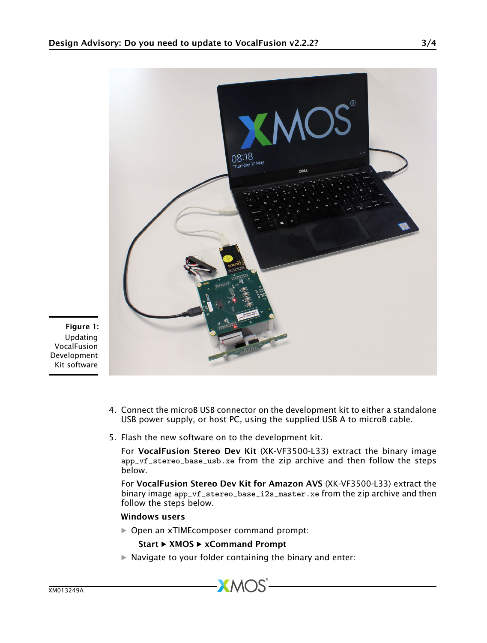

Figure 1: Updating VocalFusion Development Kit software

- 4. Connect the microB USB connector on the development kit to either a standalone USB power supply, or host PC, using the supplied USB A to microB cable.
- 5. Flash the new software on to the development kit.

For VocalFusion Stereo Dev Kit (XK-VF3500-L33) extract the binary image app\_vf\_stereo\_base\_usb.xe from the zip archive and then follow the steps below.

For VocalFusion Stereo Dev Kit for Amazon AVS (XK-VF3500-L33) extract the binary image app\_vf\_stereo\_base\_i2s\_master.xe from the zip archive and then follow the steps below.

### Windows users

· Open an xTIMEcomposer command prompt:

## Start ► XMOS ► xCommand Prompt

 $\blacktriangleright$  Navigate to your folder containing the binary and enter: